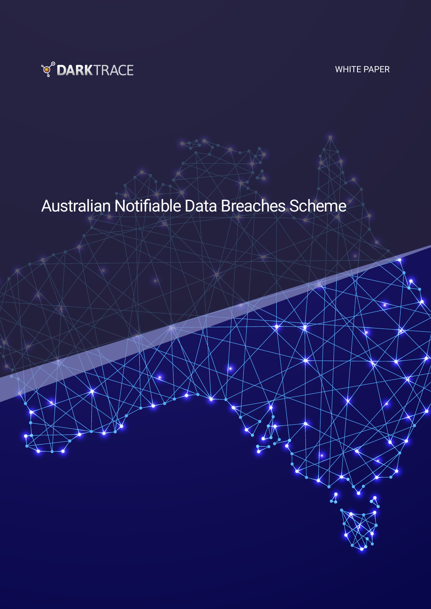

WHITE PAPER

# Australian Notifiable Data Breaches Scheme

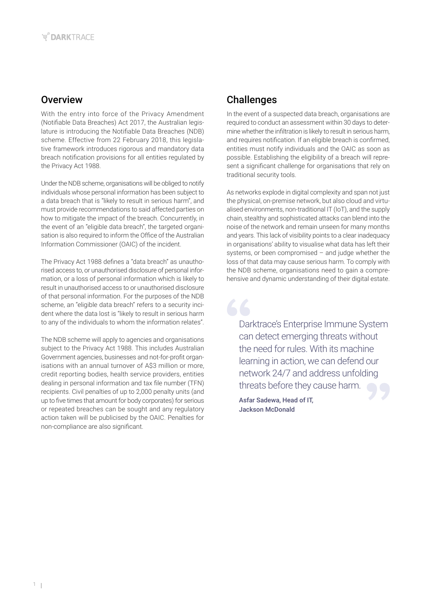## **Overview**

With the entry into force of the Privacy Amendment (Notifiable Data Breaches) Act 2017, the Australian legislature is introducing the Notifiable Data Breaches (NDB) scheme. Effective from 22 February 2018, this legislative framework introduces rigorous and mandatory data breach notification provisions for all entities regulated by the Privacy Act 1988.

Under the NDB scheme, organisations will be obliged to notify individuals whose personal information has been subject to a data breach that is "likely to result in serious harm", and must provide recommendations to said affected parties on how to mitigate the impact of the breach. Concurrently, in the event of an "eligible data breach", the targeted organisation is also required to inform the Office of the Australian Information Commissioner (OAIC) of the incident.

The Privacy Act 1988 defines a "data breach" as unauthorised access to, or unauthorised disclosure of personal information, or a loss of personal information which is likely to result in unauthorised access to or unauthorised disclosure of that personal information. For the purposes of the NDB scheme, an "eligible data breach" refers to a security incident where the data lost is "likely to result in serious harm to any of the individuals to whom the information relates".

The NDB scheme will apply to agencies and organisations subject to the Privacy Act 1988. This includes Australian Government agencies, businesses and not-for-profit organisations with an annual turnover of A\$3 million or more, credit reporting bodies, health service providers, entities dealing in personal information and tax file number (TFN) recipients. Civil penalties of up to 2,000 penalty units (and up to five times that amount for body corporates) for serious or repeated breaches can be sought and any regulatory action taken will be publicised by the OAIC. Penalties for non-compliance are also significant.

## Challenges

In the event of a suspected data breach, organisations are required to conduct an assessment within 30 days to determine whether the infiltration is likely to result in serious harm, and requires notification. If an eligible breach is confirmed, entities must notify individuals and the OAIC as soon as possible. Establishing the eligibility of a breach will represent a significant challenge for organisations that rely on traditional security tools.

As networks explode in digital complexity and span not just the physical, on-premise network, but also cloud and virtualised environments, non-traditional IT (IoT), and the supply chain, stealthy and sophisticated attacks can blend into the noise of the network and remain unseen for many months and years. This lack of visibility points to a clear inadequacy in organisations' ability to visualise what data has left their systems, or been compromised – and judge whether the loss of that data may cause serious harm. To comply with the NDB scheme, organisations need to gain a comprehensive and dynamic understanding of their digital estate.

Darktrace's Enterprise Immune System can detect emerging threats without the need for rules. With its machine learning in action, we can defend our network 24/7 and address unfolding threats before they cause harm.

Asfar Sadewa, Head of IT, Jackson McDonald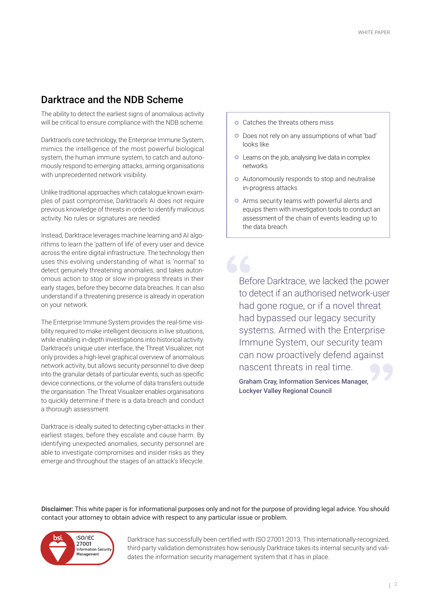### Darktrace and the NDB Scheme

The ability to detect the earliest signs of anomalous activity will be critical to ensure compliance with the NDB scheme.

Darktrace's core technology, the Enterprise Immune System, mimics the intelligence of the most powerful biological system, the human immune system, to catch and autonomously respond to emerging attacks, arming organisations with unprecedented network visibility.

Unlike traditional approaches which catalogue known examples of past compromise, Darktrace's AI does not require previous knowledge of threats in order to identify malicious activity. No rules or signatures are needed.

Instead, Darktrace leverages machine learning and AI algorithms to learn the 'pattern of life' of every user and device across the entire digital infrastructure. The technology then uses this evolving understanding of what is 'normal' to detect genuinely threatening anomalies, and takes autonomous action to stop or slow in-progress threats in their early stages, before they become data breaches. It can also understand if a threatening presence is already in operation on your network.

The Enterprise Immune System provides the real-time visibility required to make intelligent decisions in live situations, while enabling in-depth investigations into historical activity. Darktrace's unique user interface, the Threat Visualizer, not only provides a high-level graphical overview of anomalous network activity, but allows security personnel to dive deep into the granular details of particular events, such as specific device connections, or the volume of data transfers outside the organisation. The Threat Visualizer enables organisations to quickly determine if there is a data breach and conduct a thorough assessment.

Darktrace is ideally suited to detecting cyber-attacks in their earliest stages, before they escalate and cause harm. By identifying unexpected anomalies, security personnel are able to investigate compromises and insider risks as they emerge and throughout the stages of an attack's lifecycle.

- o Catches the threats others miss
- Does not rely on any assumptions of what 'bad' looks like
- Learns on the job, analysing live data in complex networks
- Autonomously responds to stop and neutralise in-progress attacks
- Arms security teams with powerful alerts and equips them with investigation tools to conduct an assessment of the chain of events leading up to the data breach.

Before Darktrace, we lacked the power to detect if an authorised network-user had gone rogue, or if a novel threat had bypassed our legacy security systems. Armed with the Enterprise Immune System, our security team can now proactively defend against nascent threats in real time.

Graham Cray, Information Services Manager, Lockyer Valley Regional Council

Disclaimer: This white paper is for informational purposes only and not for the purpose of providing legal advice. You should contact your attorney to obtain advice with respect to any particular issue or problem.



Darktrace has successfully been certified with ISO 27001:2013. This internationally-recognized, third-party validation demonstrates how seriously Darktrace takes its internal security and validates the information security management system that it has in place.